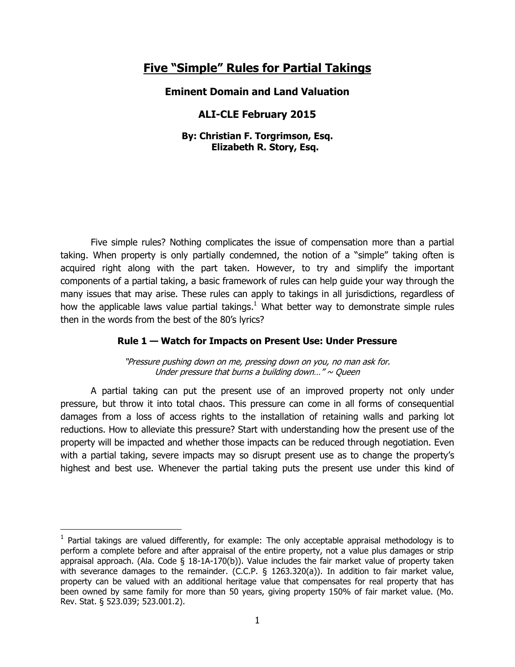# **Five "Simple" Rules for Partial Takings**

### **Eminent Domain and Land Valuation**

## **ALI-CLE February 2015**

**By: Christian F. Torgrimson, Esq. Elizabeth R. Story, Esq.** 

Five simple rules? Nothing complicates the issue of compensation more than a partial taking. When property is only partially condemned, the notion of a "simple" taking often is acquired right along with the part taken. However, to try and simplify the important components of a partial taking, a basic framework of rules can help guide your way through the many issues that may arise. These rules can apply to takings in all jurisdictions, regardless of how the applicable laws value partial takings.<sup>1</sup> What better way to demonstrate simple rules then in the words from the best of the 80's lyrics?

#### **Rule 1 — Watch for Impacts on Present Use: Under Pressure**

"Pressure pushing down on me, pressing down on you, no man ask for. Under pressure that burns a building down..."  $\sim$  Queen

A partial taking can put the present use of an improved property not only under pressure, but throw it into total chaos. This pressure can come in all forms of consequential damages from a loss of access rights to the installation of retaining walls and parking lot reductions. How to alleviate this pressure? Start with understanding how the present use of the property will be impacted and whether those impacts can be reduced through negotiation. Even with a partial taking, severe impacts may so disrupt present use as to change the property's highest and best use. Whenever the partial taking puts the present use under this kind of

 $1$  Partial takings are valued differently, for example: The only acceptable appraisal methodology is to perform a complete before and after appraisal of the entire property, not a value plus damages or strip appraisal approach. (Ala. Code § 18-1A-170(b)). Value includes the fair market value of property taken with severance damages to the remainder. (C.C.P. § 1263.320(a)). In addition to fair market value, property can be valued with an additional heritage value that compensates for real property that has been owned by same family for more than 50 years, giving property 150% of fair market value. (Mo. Rev. Stat. § 523.039; 523.001.2).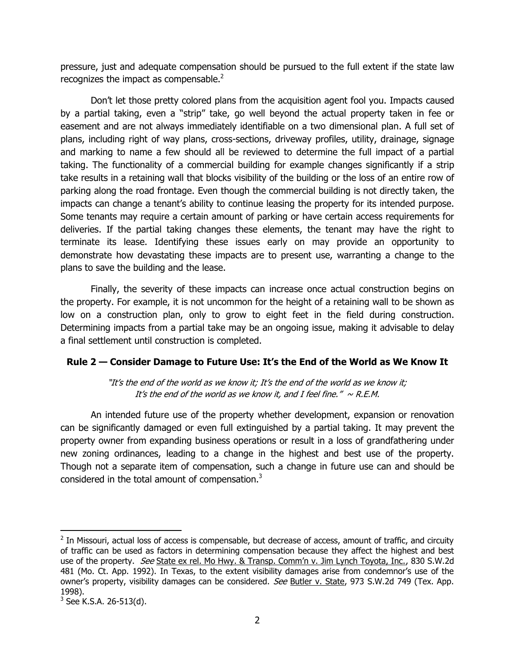pressure, just and adequate compensation should be pursued to the full extent if the state law recognizes the impact as compensable. $2^2$ 

Don't let those pretty colored plans from the acquisition agent fool you. Impacts caused by a partial taking, even a "strip" take, go well beyond the actual property taken in fee or easement and are not always immediately identifiable on a two dimensional plan. A full set of plans, including right of way plans, cross-sections, driveway profiles, utility, drainage, signage and marking to name a few should all be reviewed to determine the full impact of a partial taking. The functionality of a commercial building for example changes significantly if a strip take results in a retaining wall that blocks visibility of the building or the loss of an entire row of parking along the road frontage. Even though the commercial building is not directly taken, the impacts can change a tenant's ability to continue leasing the property for its intended purpose. Some tenants may require a certain amount of parking or have certain access requirements for deliveries. If the partial taking changes these elements, the tenant may have the right to terminate its lease. Identifying these issues early on may provide an opportunity to demonstrate how devastating these impacts are to present use, warranting a change to the plans to save the building and the lease.

Finally, the severity of these impacts can increase once actual construction begins on the property. For example, it is not uncommon for the height of a retaining wall to be shown as low on a construction plan, only to grow to eight feet in the field during construction. Determining impacts from a partial take may be an ongoing issue, making it advisable to delay a final settlement until construction is completed.

#### **Rule 2 — Consider Damage to Future Use: It's the End of the World as We Know It**

"It's the end of the world as we know it; It's the end of the world as we know it; It's the end of the world as we know it, and I feel fine."  $\sim$  R.E.M.

An intended future use of the property whether development, expansion or renovation can be significantly damaged or even full extinguished by a partial taking. It may prevent the property owner from expanding business operations or result in a loss of grandfathering under new zoning ordinances, leading to a change in the highest and best use of the property. Though not a separate item of compensation, such a change in future use can and should be considered in the total amount of compensation.<sup>3</sup>

j

 $2$  In Missouri, actual loss of access is compensable, but decrease of access, amount of traffic, and circuity of traffic can be used as factors in determining compensation because they affect the highest and best use of the property. See State ex rel. Mo Hwy. & Transp. Comm'n v. Jim Lynch Toyota, Inc., 830 S.W.2d 481 (Mo. Ct. App. 1992). In Texas, to the extent visibility damages arise from condemnor's use of the owner's property, visibility damages can be considered. See Butler v. State, 973 S.W.2d 749 (Tex. App. 1998).

 $3$  See K.S.A. 26-513(d).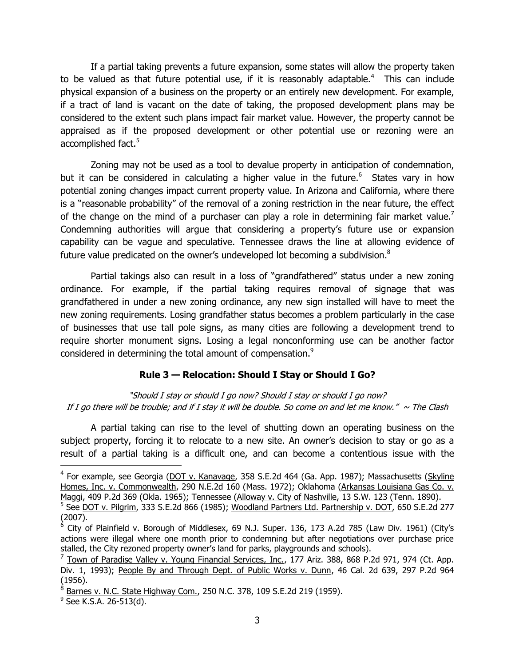If a partial taking prevents a future expansion, some states will allow the property taken to be valued as that future potential use, if it is reasonably adaptable.<sup>4</sup> This can include physical expansion of a business on the property or an entirely new development. For example, if a tract of land is vacant on the date of taking, the proposed development plans may be considered to the extent such plans impact fair market value. However, the property cannot be appraised as if the proposed development or other potential use or rezoning were an accomplished fact.<sup>5</sup>

Zoning may not be used as a tool to devalue property in anticipation of condemnation, but it can be considered in calculating a higher value in the future. $6$  States vary in how potential zoning changes impact current property value. In Arizona and California, where there is a "reasonable probability" of the removal of a zoning restriction in the near future, the effect of the change on the mind of a purchaser can play a role in determining fair market value.<sup>7</sup> Condemning authorities will argue that considering a property's future use or expansion capability can be vague and speculative. Tennessee draws the line at allowing evidence of future value predicated on the owner's undeveloped lot becoming a subdivision.<sup>8</sup>

Partial takings also can result in a loss of "grandfathered" status under a new zoning ordinance. For example, if the partial taking requires removal of signage that was grandfathered in under a new zoning ordinance, any new sign installed will have to meet the new zoning requirements. Losing grandfather status becomes a problem particularly in the case of businesses that use tall pole signs, as many cities are following a development trend to require shorter monument signs. Losing a legal nonconforming use can be another factor considered in determining the total amount of compensation.<sup>9</sup>

## **Rule 3 — Relocation: Should I Stay or Should I Go?**

"Should I stay or should I go now? Should I stay or should I go now? If I go there will be trouble; and if I stay it will be double. So come on and let me know."  $\sim$  The Clash

A partial taking can rise to the level of shutting down an operating business on the subject property, forcing it to relocate to a new site. An owner's decision to stay or go as a result of a partial taking is a difficult one, and can become a contentious issue with the

j

<sup>&</sup>lt;sup>4</sup> For example, see Georgia (DOT v. Kanavage, 358 S.E.2d 464 (Ga. App. 1987); Massachusetts (Skyline Homes, Inc. v. Commonwealth, 290 N.E.2d 160 (Mass. 1972); Oklahoma (Arkansas Louisiana Gas Co. v. Maggi, 409 P.2d 369 (Okla. 1965); Tennessee (Alloway v. City of Nashville, 13 S.W. 123 (Tenn. 1890).

<sup>&</sup>lt;sup>5</sup> See <u>DOT v. Pilgrim</u>, 333 S.E.2d 866 (1985); Woodland Partners Ltd. Partnership v. DOT, 650 S.E.2d 277 (2007).

<sup>6</sup> City of Plainfield v. Borough of Middlesex, 69 N.J. Super. 136, 173 A.2d 785 (Law Div. 1961) (City's actions were illegal where one month prior to condemning but after negotiations over purchase price stalled, the City rezoned property owner's land for parks, playgrounds and schools).

<sup>7</sup> Town of Paradise Valley v. Young Financial Services, Inc., 177 Ariz. 388, 868 P.2d 971, 974 (Ct. App. Div. 1, 1993); People By and Through Dept. of Public Works v. Dunn, 46 Cal. 2d 639, 297 P.2d 964 (1956).

<sup>&</sup>lt;sup>8</sup> Barnes v. N.C. State Highway Com., 250 N.C. 378, 109 S.E.2d 219 (1959).

<sup>&</sup>lt;sup>9</sup> See K.S.A. 26-513(d).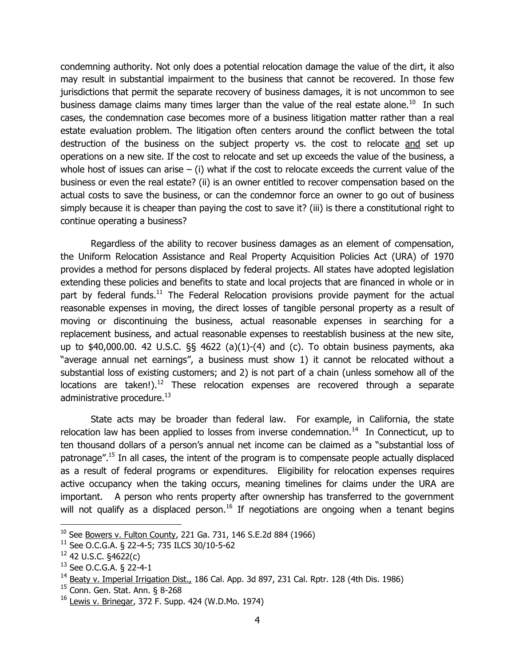condemning authority. Not only does a potential relocation damage the value of the dirt, it also may result in substantial impairment to the business that cannot be recovered. In those few jurisdictions that permit the separate recovery of business damages, it is not uncommon to see business damage claims many times larger than the value of the real estate alone.<sup>10</sup> In such cases, the condemnation case becomes more of a business litigation matter rather than a real estate evaluation problem. The litigation often centers around the conflict between the total destruction of the business on the subject property vs. the cost to relocate and set up operations on a new site. If the cost to relocate and set up exceeds the value of the business, a whole host of issues can arise  $-$  (i) what if the cost to relocate exceeds the current value of the business or even the real estate? (ii) is an owner entitled to recover compensation based on the actual costs to save the business, or can the condemnor force an owner to go out of business simply because it is cheaper than paying the cost to save it? (iii) is there a constitutional right to continue operating a business?

Regardless of the ability to recover business damages as an element of compensation, the Uniform Relocation Assistance and Real Property Acquisition Policies Act (URA) of 1970 provides a method for persons displaced by federal projects. All states have adopted legislation extending these policies and benefits to state and local projects that are financed in whole or in part by federal funds.<sup>11</sup> The Federal Relocation provisions provide payment for the actual reasonable expenses in moving, the direct losses of tangible personal property as a result of moving or discontinuing the business, actual reasonable expenses in searching for a replacement business, and actual reasonable expenses to reestablish business at the new site, up to \$40,000.00. 42 U.S.C. §§ 4622 (a)(1)-(4) and (c). To obtain business payments, aka "average annual net earnings", a business must show 1) it cannot be relocated without a substantial loss of existing customers; and 2) is not part of a chain (unless somehow all of the locations are taken!).<sup>12</sup> These relocation expenses are recovered through a separate administrative procedure.<sup>13</sup>

State acts may be broader than federal law. For example, in California, the state relocation law has been applied to losses from inverse condemnation.<sup>14</sup> In Connecticut, up to ten thousand dollars of a person's annual net income can be claimed as a "substantial loss of patronage".<sup>15</sup> In all cases, the intent of the program is to compensate people actually displaced as a result of federal programs or expenditures. Eligibility for relocation expenses requires active occupancy when the taking occurs, meaning timelines for claims under the URA are important. A person who rents property after ownership has transferred to the government will not qualify as a displaced person.<sup>16</sup> If negotiations are ongoing when a tenant begins

 $\overline{a}$ 

<sup>&</sup>lt;sup>10</sup> See <u>Bowers v. Fulton County</u>, 221 Ga. 731, 146 S.E.2d 884 (1966)

<sup>11</sup> See O.C.G.A. § 22-4-5; 735 ILCS 30/10-5-62

<sup>12</sup> 42 U.S.C. §4622(c)

 $13$  See O.C.G.A. § 22-4-1

 $14$  Beaty v. Imperial Irrigation Dist., 186 Cal. App. 3d 897, 231 Cal. Rptr. 128 (4th Dis. 1986)

<sup>15</sup> Conn. Gen. Stat. Ann. § 8-268

 $16$  Lewis v. Brinegar, 372 F. Supp. 424 (W.D.Mo. 1974)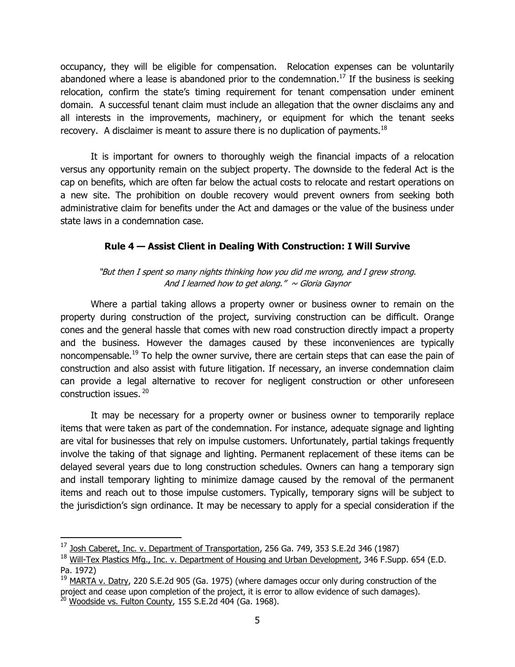occupancy, they will be eligible for compensation. Relocation expenses can be voluntarily abandoned where a lease is abandoned prior to the condemnation.<sup>17</sup> If the business is seeking relocation, confirm the state's timing requirement for tenant compensation under eminent domain. A successful tenant claim must include an allegation that the owner disclaims any and all interests in the improvements, machinery, or equipment for which the tenant seeks recovery. A disclaimer is meant to assure there is no duplication of payments.<sup>18</sup>

It is important for owners to thoroughly weigh the financial impacts of a relocation versus any opportunity remain on the subject property. The downside to the federal Act is the cap on benefits, which are often far below the actual costs to relocate and restart operations on a new site. The prohibition on double recovery would prevent owners from seeking both administrative claim for benefits under the Act and damages or the value of the business under state laws in a condemnation case.

## **Rule 4 — Assist Client in Dealing With Construction: I Will Survive**

#### "But then I spent so many nights thinking how you did me wrong, and I grew strong. And I learned how to get along."  $\sim$  Gloria Gaynor

Where a partial taking allows a property owner or business owner to remain on the property during construction of the project, surviving construction can be difficult. Orange cones and the general hassle that comes with new road construction directly impact a property and the business. However the damages caused by these inconveniences are typically noncompensable.<sup>19</sup> To help the owner survive, there are certain steps that can ease the pain of construction and also assist with future litigation. If necessary, an inverse condemnation claim can provide a legal alternative to recover for negligent construction or other unforeseen construction issues. <sup>20</sup>

It may be necessary for a property owner or business owner to temporarily replace items that were taken as part of the condemnation. For instance, adequate signage and lighting are vital for businesses that rely on impulse customers. Unfortunately, partial takings frequently involve the taking of that signage and lighting. Permanent replacement of these items can be delayed several years due to long construction schedules. Owners can hang a temporary sign and install temporary lighting to minimize damage caused by the removal of the permanent items and reach out to those impulse customers. Typically, temporary signs will be subject to the jurisdiction's sign ordinance. It may be necessary to apply for a special consideration if the

 $\overline{a}$ 

<sup>&</sup>lt;sup>17</sup> Josh Caberet, Inc. v. Department of Transportation, 256 Ga. 749, 353 S.E.2d 346 (1987)

<sup>&</sup>lt;sup>18</sup> Will-Tex Plastics Mfg., Inc. v. Department of Housing and Urban Development, 346 F.Supp. 654 (E.D. Pa. 1972)

 $19$  MARTA v. Datry, 220 S.E.2d 905 (Ga. 1975) (where damages occur only during construction of the project and cease upon completion of the project, it is error to allow evidence of such damages).

<sup>&</sup>lt;sup>20</sup> Woodside vs. Fulton County, 155 S.E.2d 404 (Ga. 1968).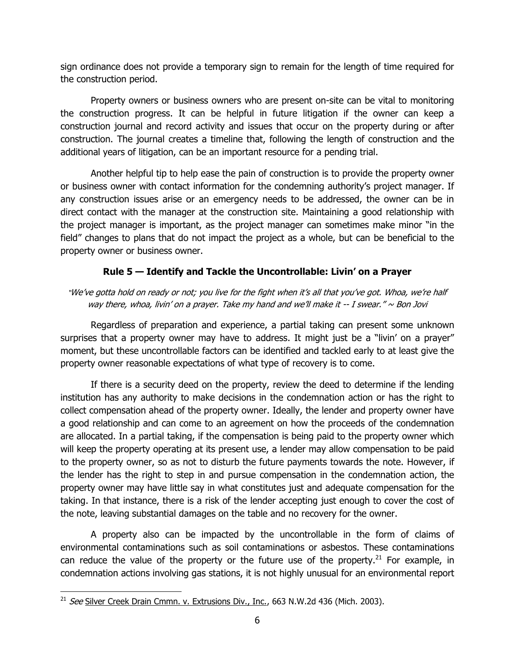sign ordinance does not provide a temporary sign to remain for the length of time required for the construction period.

Property owners or business owners who are present on-site can be vital to monitoring the construction progress. It can be helpful in future litigation if the owner can keep a construction journal and record activity and issues that occur on the property during or after construction. The journal creates a timeline that, following the length of construction and the additional years of litigation, can be an important resource for a pending trial.

Another helpful tip to help ease the pain of construction is to provide the property owner or business owner with contact information for the condemning authority's project manager. If any construction issues arise or an emergency needs to be addressed, the owner can be in direct contact with the manager at the construction site. Maintaining a good relationship with the project manager is important, as the project manager can sometimes make minor "in the field" changes to plans that do not impact the project as a whole, but can be beneficial to the property owner or business owner.

# **Rule 5 — Identify and Tackle the Uncontrollable: Livin' on a Prayer**

### "We've gotta hold on ready or not; you live for the fight when it's all that you've got. Whoa, we're half way there, whoa, livin' on a prayer. Take my hand and we'll make it  $-$  I swear."  $\sim$  Bon Jovi

Regardless of preparation and experience, a partial taking can present some unknown surprises that a property owner may have to address. It might just be a "livin' on a prayer" moment, but these uncontrollable factors can be identified and tackled early to at least give the property owner reasonable expectations of what type of recovery is to come.

If there is a security deed on the property, review the deed to determine if the lending institution has any authority to make decisions in the condemnation action or has the right to collect compensation ahead of the property owner. Ideally, the lender and property owner have a good relationship and can come to an agreement on how the proceeds of the condemnation are allocated. In a partial taking, if the compensation is being paid to the property owner which will keep the property operating at its present use, a lender may allow compensation to be paid to the property owner, so as not to disturb the future payments towards the note. However, if the lender has the right to step in and pursue compensation in the condemnation action, the property owner may have little say in what constitutes just and adequate compensation for the taking. In that instance, there is a risk of the lender accepting just enough to cover the cost of the note, leaving substantial damages on the table and no recovery for the owner.

A property also can be impacted by the uncontrollable in the form of claims of environmental contaminations such as soil contaminations or asbestos. These contaminations can reduce the value of the property or the future use of the property.<sup>21</sup> For example, in condemnation actions involving gas stations, it is not highly unusual for an environmental report

j  $^{21}$  See Silver Creek Drain Cmmn. v. Extrusions Div., Inc., 663 N.W.2d 436 (Mich. 2003).